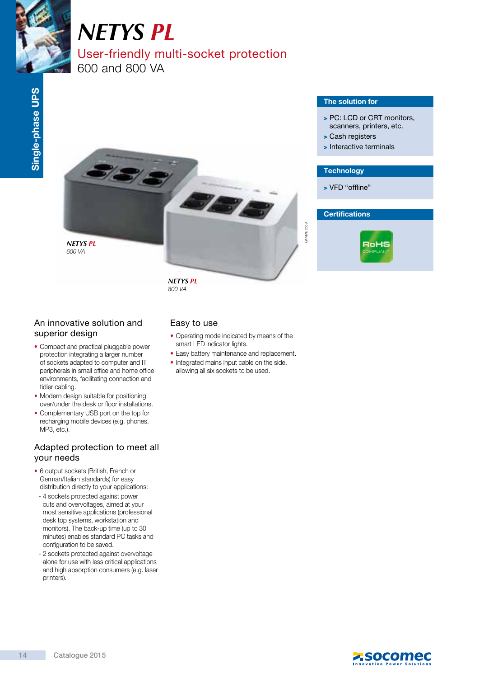

# *NETYS PL* User-friendly multi-socket protection 600 and 800 VA

# The solution for

- > PC: LCD or CRT monitors, scanners, printers, etc.
- > Cash registers
- > Interactive terminals

# **Technology**

> VFD "offline"



*NETYS PL* 600 VA

> *NETYS PL* 800 VA

# An innovative solution and superior design

- Compact and practical pluggable power protection integrating a larger number of sockets adapted to computer and IT peripherals in small office and home office environments, facilitating connection and tidier cabling.
- Modern design suitable for positioning over/under the desk or floor installations.
- Complementary USB port on the top for recharging mobile devices (e.g. phones, MP3, etc.).

# Adapted protection to meet all your needs

- 6 output sockets (British, French or German/Italian standards) for easy distribution directly to your applications:
- 4 sockets protected against power cuts and overvoltages, aimed at your most sensitive applications (professional desk top systems, workstation and monitors). The back-up time (up to 30 minutes) enables standard PC tasks and configuration to be saved.
- 2 sockets protected against overvoltage alone for use with less critical applications and high absorption consumers (e.g. laser printers).

# Easy to use

• Operating mode indicated by means of the smart LED indicator lights.

**Be** 

- Easy battery maintenance and replacement.
- Integrated mains input cable on the side, allowing all six sockets to be used.